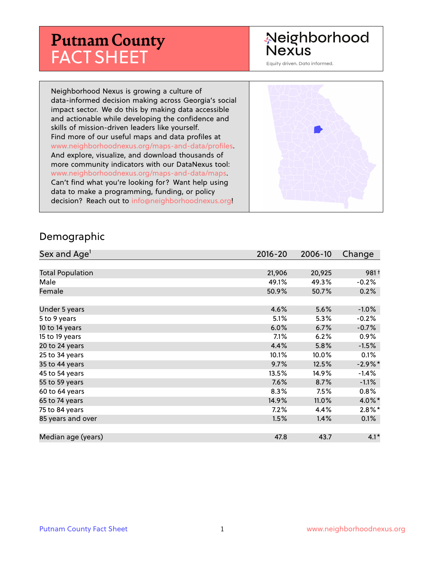# **Putnam County** FACT SHEET

#### Neighborhood **Nexus**

Equity driven. Data informed.

Neighborhood Nexus is growing a culture of data-informed decision making across Georgia's social impact sector. We do this by making data accessible and actionable while developing the confidence and skills of mission-driven leaders like yourself. Find more of our useful maps and data profiles at www.neighborhoodnexus.org/maps-and-data/profiles. And explore, visualize, and download thousands of more community indicators with our DataNexus tool: www.neighborhoodnexus.org/maps-and-data/maps. Can't find what you're looking for? Want help using data to make a programming, funding, or policy decision? Reach out to [info@neighborhoodnexus.org!](mailto:info@neighborhoodnexus.org)



#### Demographic

| Sex and Age <sup>1</sup> | $2016 - 20$ | 2006-10 | Change           |
|--------------------------|-------------|---------|------------------|
|                          |             |         |                  |
| <b>Total Population</b>  | 21,906      | 20,925  | 981 <sup>†</sup> |
| Male                     | 49.1%       | 49.3%   | $-0.2%$          |
| Female                   | 50.9%       | 50.7%   | 0.2%             |
|                          |             |         |                  |
| Under 5 years            | 4.6%        | 5.6%    | $-1.0%$          |
| 5 to 9 years             | 5.1%        | $5.3\%$ | $-0.2%$          |
| 10 to 14 years           | 6.0%        | 6.7%    | $-0.7%$          |
| 15 to 19 years           | 7.1%        | 6.2%    | 0.9%             |
| 20 to 24 years           | 4.4%        | 5.8%    | $-1.5%$          |
| 25 to 34 years           | 10.1%       | 10.0%   | 0.1%             |
| 35 to 44 years           | 9.7%        | 12.5%   | $-2.9\%$ *       |
| 45 to 54 years           | 13.5%       | 14.9%   | $-1.4%$          |
| 55 to 59 years           | 7.6%        | 8.7%    | $-1.1\%$         |
| 60 to 64 years           | 8.3%        | 7.5%    | 0.8%             |
| 65 to 74 years           | 14.9%       | 11.0%   | 4.0%*            |
| 75 to 84 years           | $7.2\%$     | 4.4%    | $2.8\%$ *        |
| 85 years and over        | 1.5%        | 1.4%    | 0.1%             |
|                          |             |         |                  |
| Median age (years)       | 47.8        | 43.7    | $4.1*$           |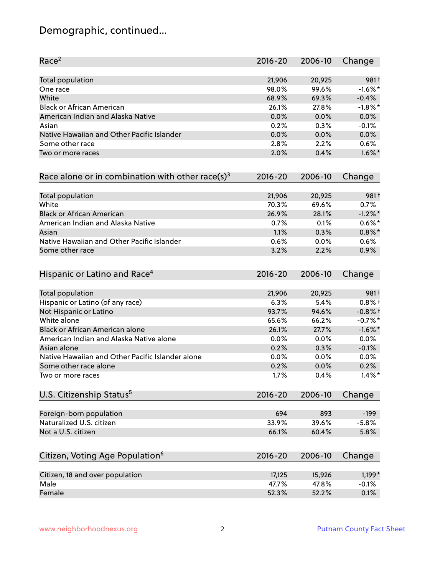# Demographic, continued...

| Race <sup>2</sup>                                            | $2016 - 20$ | 2006-10 | Change     |
|--------------------------------------------------------------|-------------|---------|------------|
| <b>Total population</b>                                      | 21,906      | 20,925  | 981+       |
| One race                                                     | 98.0%       | 99.6%   | $-1.6\%$ * |
| White                                                        | 68.9%       | 69.3%   | $-0.4%$    |
| <b>Black or African American</b>                             | 26.1%       | 27.8%   | $-1.8\%$ * |
| American Indian and Alaska Native                            | 0.0%        | 0.0%    | 0.0%       |
| Asian                                                        | 0.2%        | 0.3%    | $-0.1%$    |
| Native Hawaiian and Other Pacific Islander                   | 0.0%        | 0.0%    | 0.0%       |
| Some other race                                              | 2.8%        | 2.2%    | 0.6%       |
| Two or more races                                            | 2.0%        | 0.4%    | $1.6\%$ *  |
| Race alone or in combination with other race(s) <sup>3</sup> | $2016 - 20$ | 2006-10 | Change     |
| Total population                                             | 21,906      | 20,925  | 981+       |
| White                                                        | 70.3%       | 69.6%   | 0.7%       |
| <b>Black or African American</b>                             | 26.9%       | 28.1%   | $-1.2%$ *  |
| American Indian and Alaska Native                            | 0.7%        | 0.1%    | $0.6\%$ *  |
| Asian                                                        | 1.1%        | 0.3%    | $0.8\%$ *  |
| Native Hawaiian and Other Pacific Islander                   | 0.6%        | 0.0%    | 0.6%       |
| Some other race                                              | 3.2%        | 2.2%    | 0.9%       |
| Hispanic or Latino and Race <sup>4</sup>                     | $2016 - 20$ | 2006-10 | Change     |
| <b>Total population</b>                                      | 21,906      | 20,925  | 981+       |
| Hispanic or Latino (of any race)                             | 6.3%        | 5.4%    | $0.8%$ +   |
| Not Hispanic or Latino                                       | 93.7%       | 94.6%   | $-0.8%$ †  |
| White alone                                                  | 65.6%       | 66.2%   | $-0.7%$ *  |
| Black or African American alone                              | 26.1%       | 27.7%   | $-1.6\%$ * |
| American Indian and Alaska Native alone                      | 0.0%        | 0.0%    | 0.0%       |
| Asian alone                                                  | 0.2%        | 0.3%    | $-0.1%$    |
| Native Hawaiian and Other Pacific Islander alone             | 0.0%        | 0.0%    | $0.0\%$    |
| Some other race alone                                        | 0.2%        | 0.0%    | 0.2%       |
| Two or more races                                            | 1.7%        | 0.4%    | $1.4\%$ *  |
| U.S. Citizenship Status <sup>5</sup>                         | $2016 - 20$ | 2006-10 | Change     |
| Foreign-born population                                      | 694         | 893     | $-199$     |
| Naturalized U.S. citizen                                     | 33.9%       | 39.6%   | $-5.8%$    |
| Not a U.S. citizen                                           | 66.1%       | 60.4%   | 5.8%       |
| Citizen, Voting Age Population <sup>6</sup>                  | $2016 - 20$ | 2006-10 |            |
|                                                              |             |         | Change     |
| Citizen, 18 and over population                              | 17,125      | 15,926  | $1,199*$   |
| Male                                                         | 47.7%       | 47.8%   | $-0.1%$    |
| Female                                                       | 52.3%       | 52.2%   | 0.1%       |
|                                                              |             |         |            |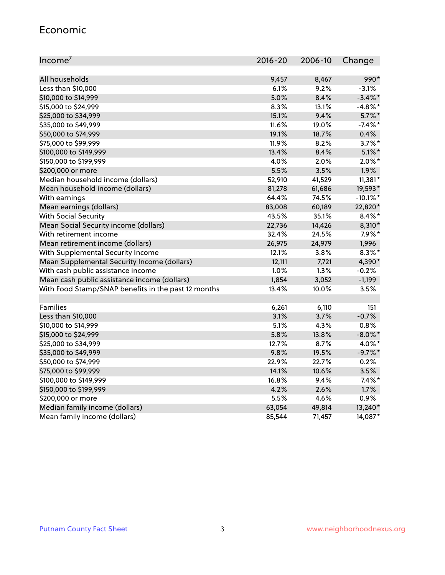#### Economic

| Income <sup>7</sup>                                 | $2016 - 20$ | 2006-10 | Change      |
|-----------------------------------------------------|-------------|---------|-------------|
|                                                     |             |         |             |
| All households                                      | 9,457       | 8,467   | 990*        |
| Less than \$10,000                                  | 6.1%        | 9.2%    | $-3.1%$     |
| \$10,000 to \$14,999                                | 5.0%        | 8.4%    | $-3.4\%$ *  |
| \$15,000 to \$24,999                                | 8.3%        | 13.1%   | $-4.8\%$ *  |
| \$25,000 to \$34,999                                | 15.1%       | 9.4%    | $5.7\%$ *   |
| \$35,000 to \$49,999                                | 11.6%       | 19.0%   | $-7.4\%$ *  |
| \$50,000 to \$74,999                                | 19.1%       | 18.7%   | 0.4%        |
| \$75,000 to \$99,999                                | 11.9%       | 8.2%    | $3.7\%$ *   |
| \$100,000 to \$149,999                              | 13.4%       | 8.4%    | $5.1\%$ *   |
| \$150,000 to \$199,999                              | 4.0%        | 2.0%    | $2.0\%$ *   |
| \$200,000 or more                                   | 5.5%        | 3.5%    | 1.9%        |
| Median household income (dollars)                   | 52,910      | 41,529  | $11,381*$   |
| Mean household income (dollars)                     | 81,278      | 61,686  | 19,593*     |
| With earnings                                       | 64.4%       | 74.5%   | $-10.1\%$ * |
| Mean earnings (dollars)                             | 83,008      | 60,189  | 22,820*     |
| <b>With Social Security</b>                         | 43.5%       | 35.1%   | $8.4\%$ *   |
| Mean Social Security income (dollars)               | 22,736      | 14,426  | 8,310*      |
| With retirement income                              | 32.4%       | 24.5%   | $7.9\%$ *   |
| Mean retirement income (dollars)                    | 26,975      | 24,979  | 1,996       |
| With Supplemental Security Income                   | 12.1%       | 3.8%    | $8.3\%$ *   |
| Mean Supplemental Security Income (dollars)         | 12,111      | 7,721   | 4,390*      |
| With cash public assistance income                  | 1.0%        | 1.3%    | $-0.2%$     |
| Mean cash public assistance income (dollars)        | 1,854       | 3,052   | $-1,199$    |
| With Food Stamp/SNAP benefits in the past 12 months | 13.4%       | 10.0%   | 3.5%        |
|                                                     |             |         |             |
| Families                                            | 6,261       | 6,110   | 151         |
| Less than \$10,000                                  | 3.1%        | 3.7%    | $-0.7%$     |
| \$10,000 to \$14,999                                | 5.1%        | 4.3%    | 0.8%        |
| \$15,000 to \$24,999                                | 5.8%        | 13.8%   | $-8.0\%$ *  |
| \$25,000 to \$34,999                                | 12.7%       | 8.7%    | 4.0%*       |
| \$35,000 to \$49,999                                | 9.8%        | 19.5%   | $-9.7%$ *   |
| \$50,000 to \$74,999                                | 22.9%       | 22.7%   | 0.2%        |
| \$75,000 to \$99,999                                | 14.1%       | 10.6%   | 3.5%        |
| \$100,000 to \$149,999                              | 16.8%       | 9.4%    | $7.4\%$ *   |
| \$150,000 to \$199,999                              | 4.2%        | 2.6%    | 1.7%        |
| \$200,000 or more                                   | 5.5%        | 4.6%    | 0.9%        |
| Median family income (dollars)                      | 63,054      | 49,814  | 13,240*     |
| Mean family income (dollars)                        | 85,544      | 71,457  | 14,087*     |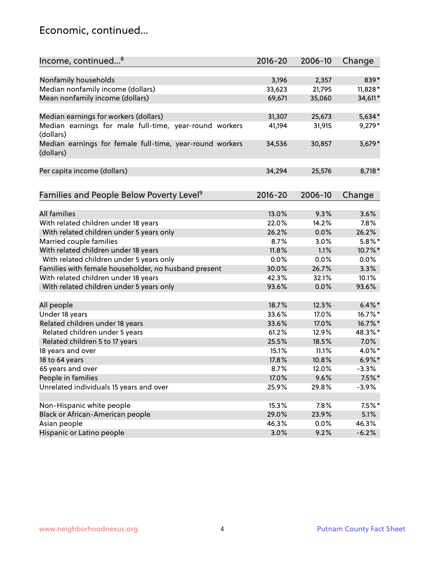#### Economic, continued...

| Income, continued <sup>8</sup>                                        | $2016 - 20$ | 2006-10 | Change    |
|-----------------------------------------------------------------------|-------------|---------|-----------|
|                                                                       |             |         |           |
| Nonfamily households                                                  | 3,196       | 2,357   | 839*      |
| Median nonfamily income (dollars)                                     | 33,623      | 21,795  | 11,828*   |
| Mean nonfamily income (dollars)                                       | 69,671      | 35,060  | 34,611*   |
| Median earnings for workers (dollars)                                 | 31,307      | 25,673  | 5,634*    |
| Median earnings for male full-time, year-round workers<br>(dollars)   | 41,194      | 31,915  | $9,279*$  |
| Median earnings for female full-time, year-round workers<br>(dollars) | 34,536      | 30,857  | $3,679*$  |
| Per capita income (dollars)                                           | 34,294      | 25,576  | 8,718*    |
| Families and People Below Poverty Level <sup>9</sup>                  | $2016 - 20$ | 2006-10 | Change    |
|                                                                       |             |         |           |
| <b>All families</b>                                                   | 13.0%       | 9.3%    | 3.6%      |
| With related children under 18 years                                  | 22.0%       | 14.2%   | 7.8%      |
| With related children under 5 years only                              | 26.2%       | 0.0%    | 26.2%     |
| Married couple families                                               | 8.7%        | 3.0%    | $5.8\%$ * |
| With related children under 18 years                                  | 11.8%       | 1.1%    | 10.7%*    |
| With related children under 5 years only                              | 0.0%        | 0.0%    | 0.0%      |
| Families with female householder, no husband present                  | 30.0%       | 26.7%   | 3.3%      |
| With related children under 18 years                                  | 42.3%       | 32.1%   | 10.1%     |
| With related children under 5 years only                              | 93.6%       | 0.0%    | 93.6%     |
| All people                                                            | 18.7%       | 12.3%   | $6.4\%$ * |
| Under 18 years                                                        | 33.6%       | 17.0%   | 16.7%*    |
| Related children under 18 years                                       | 33.6%       | 17.0%   | 16.7%*    |
| Related children under 5 years                                        | 61.2%       | 12.9%   | 48.3%*    |
| Related children 5 to 17 years                                        | 25.5%       | 18.5%   | 7.0%      |
| 18 years and over                                                     | 15.1%       | 11.1%   | 4.0%*     |
| 18 to 64 years                                                        | 17.8%       | 10.8%   | $6.9\%$ * |
| 65 years and over                                                     | 8.7%        | 12.0%   | $-3.3%$   |
| People in families                                                    | 17.0%       | 9.6%    | $7.5\%$ * |
| Unrelated individuals 15 years and over                               | 25.9%       | 29.8%   | $-3.9%$   |
|                                                                       |             |         |           |
| Non-Hispanic white people                                             | 15.3%       | 7.8%    | $7.5\%$ * |
| Black or African-American people                                      | 29.0%       | 23.9%   | 5.1%      |
| Asian people                                                          | 46.3%       | $0.0\%$ | 46.3%     |
| Hispanic or Latino people                                             | 3.0%        | 9.2%    | $-6.2%$   |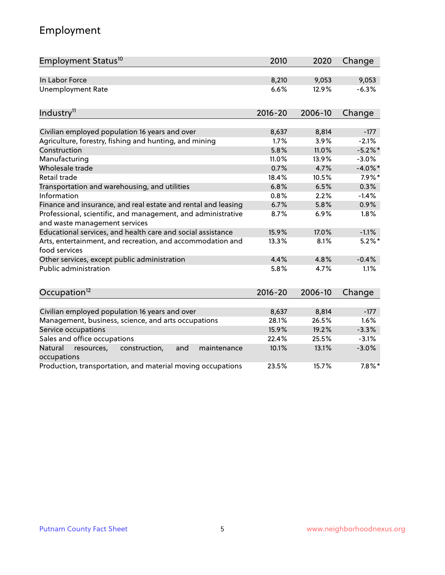# Employment

| Employment Status <sup>10</sup>                                                                          | 2010          | 2020          | Change            |
|----------------------------------------------------------------------------------------------------------|---------------|---------------|-------------------|
| In Labor Force                                                                                           | 8,210         | 9,053         | 9,053             |
| <b>Unemployment Rate</b>                                                                                 | 6.6%          | 12.9%         | $-6.3%$           |
| Industry <sup>11</sup>                                                                                   | $2016 - 20$   | 2006-10       | Change            |
|                                                                                                          |               |               |                   |
| Civilian employed population 16 years and over<br>Agriculture, forestry, fishing and hunting, and mining | 8,637<br>1.7% | 8,814<br>3.9% | $-177$<br>$-2.1%$ |
| Construction                                                                                             | 5.8%          | 11.0%         | $-5.2%$ *         |
| Manufacturing                                                                                            | 11.0%         | 13.9%         | $-3.0%$           |
| Wholesale trade                                                                                          | 0.7%          | 4.7%          | $-4.0\%$ *        |
| Retail trade                                                                                             | 18.4%         | 10.5%         | $7.9\%$ *         |
| Transportation and warehousing, and utilities                                                            | 6.8%          | 6.5%          | 0.3%              |
| Information                                                                                              | 0.8%          | 2.2%          | $-1.4%$           |
| Finance and insurance, and real estate and rental and leasing                                            | 6.7%          | 5.8%          | 0.9%              |
| Professional, scientific, and management, and administrative<br>and waste management services            | 8.7%          | 6.9%          | 1.8%              |
| Educational services, and health care and social assistance                                              | 15.9%         | 17.0%         | $-1.1%$           |
| Arts, entertainment, and recreation, and accommodation and<br>food services                              | 13.3%         | 8.1%          | $5.2\%$ *         |
| Other services, except public administration                                                             | 4.4%          | 4.8%          | $-0.4%$           |
| <b>Public administration</b>                                                                             | 5.8%          | 4.7%          | 1.1%              |
| Occupation <sup>12</sup>                                                                                 | $2016 - 20$   | 2006-10       | Change            |
|                                                                                                          |               |               |                   |
| Civilian employed population 16 years and over                                                           | 8,637         | 8,814         | $-177$            |
| Management, business, science, and arts occupations                                                      | 28.1%         | 26.5%         | 1.6%              |
| Service occupations                                                                                      | 15.9%         | 19.2%         | $-3.3%$           |
| Sales and office occupations                                                                             | 22.4%         | 25.5%         | $-3.1%$           |
| Natural<br>resources,<br>construction,<br>and<br>maintenance<br>occupations                              | 10.1%         | 13.1%         | $-3.0%$           |
| Production, transportation, and material moving occupations                                              | 23.5%         | 15.7%         | $7.8\%$ *         |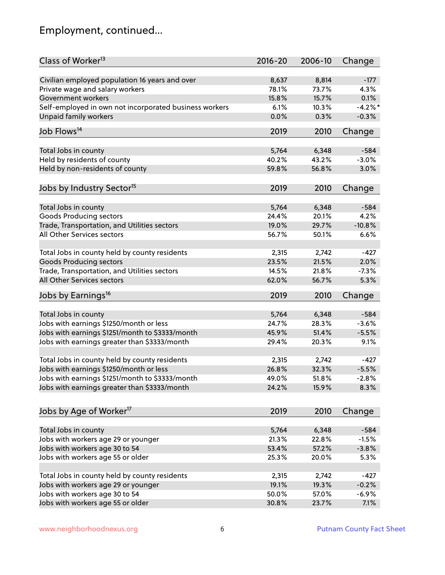# Employment, continued...

| Civilian employed population 16 years and over<br>8,637<br>8,814<br>$-177$<br>Private wage and salary workers<br>78.1%<br>73.7%<br>4.3%<br>Government workers<br>15.8%<br>15.7%<br>0.1%<br>Self-employed in own not incorporated business workers<br>$-4.2\%$ *<br>6.1%<br>10.3%<br><b>Unpaid family workers</b><br>0.0%<br>0.3%<br>$-0.3%$<br>Job Flows <sup>14</sup><br>2010<br>2019<br>Change<br>5,764<br>6,348<br>$-584$<br>Total Jobs in county<br>Held by residents of county<br>40.2%<br>43.2%<br>$-3.0%$<br>Held by non-residents of county<br>59.8%<br>56.8%<br>3.0%<br>Jobs by Industry Sector <sup>15</sup><br>2019<br>2010<br>Change<br>5,764<br>Total Jobs in county<br>6,348<br>$-584$<br>Goods Producing sectors<br>24.4%<br>20.1%<br>4.2%<br>Trade, Transportation, and Utilities sectors<br>19.0%<br>29.7%<br>$-10.8%$<br>All Other Services sectors<br>56.7%<br>50.1%<br>6.6%<br>Total Jobs in county held by county residents<br>2,315<br>2,742<br>$-427$<br><b>Goods Producing sectors</b><br>23.5%<br>21.5%<br>2.0%<br>Trade, Transportation, and Utilities sectors<br>14.5%<br>21.8%<br>$-7.3%$<br>All Other Services sectors<br>62.0%<br>5.3%<br>56.7%<br>Jobs by Earnings <sup>16</sup><br>2019<br>2010<br>Change<br>Total Jobs in county<br>5,764<br>6,348<br>$-584$<br>Jobs with earnings \$1250/month or less<br>28.3%<br>$-3.6%$<br>24.7%<br>Jobs with earnings \$1251/month to \$3333/month<br>45.9%<br>51.4%<br>$-5.5%$<br>Jobs with earnings greater than \$3333/month<br>9.1%<br>29.4%<br>20.3%<br>Total Jobs in county held by county residents<br>2,315<br>2,742<br>$-427$<br>Jobs with earnings \$1250/month or less<br>26.8%<br>32.3%<br>$-5.5%$<br>Jobs with earnings \$1251/month to \$3333/month<br>49.0%<br>$51.8\%$<br>$-2.8\%$<br>Jobs with earnings greater than \$3333/month<br>24.2%<br>15.9%<br>8.3%<br>Jobs by Age of Worker <sup>17</sup><br>2010<br>Change<br>2019<br>5,764<br>6,348<br>Total Jobs in county<br>$-584$<br>Jobs with workers age 29 or younger<br>21.3%<br>22.8%<br>$-1.5%$<br>Jobs with workers age 30 to 54<br>53.4%<br>57.2%<br>$-3.8%$<br>Jobs with workers age 55 or older<br>25.3%<br>5.3%<br>20.0%<br>Total Jobs in county held by county residents<br>2,315<br>$-427$<br>2,742<br>Jobs with workers age 29 or younger<br>19.1%<br>19.3%<br>$-0.2%$<br>Jobs with workers age 30 to 54<br>50.0%<br>57.0%<br>$-6.9%$<br>Jobs with workers age 55 or older<br>7.1%<br>30.8%<br>23.7% | Class of Worker <sup>13</sup> | $2016 - 20$ | 2006-10 | Change |
|----------------------------------------------------------------------------------------------------------------------------------------------------------------------------------------------------------------------------------------------------------------------------------------------------------------------------------------------------------------------------------------------------------------------------------------------------------------------------------------------------------------------------------------------------------------------------------------------------------------------------------------------------------------------------------------------------------------------------------------------------------------------------------------------------------------------------------------------------------------------------------------------------------------------------------------------------------------------------------------------------------------------------------------------------------------------------------------------------------------------------------------------------------------------------------------------------------------------------------------------------------------------------------------------------------------------------------------------------------------------------------------------------------------------------------------------------------------------------------------------------------------------------------------------------------------------------------------------------------------------------------------------------------------------------------------------------------------------------------------------------------------------------------------------------------------------------------------------------------------------------------------------------------------------------------------------------------------------------------------------------------------------------------------------------------------------------------------------------------------------------------------------------------------------------------------------------------------------------------------------------------------------------------------------------------------------------------------------------------------------------------------------------------------------------------------------------------|-------------------------------|-------------|---------|--------|
|                                                                                                                                                                                                                                                                                                                                                                                                                                                                                                                                                                                                                                                                                                                                                                                                                                                                                                                                                                                                                                                                                                                                                                                                                                                                                                                                                                                                                                                                                                                                                                                                                                                                                                                                                                                                                                                                                                                                                                                                                                                                                                                                                                                                                                                                                                                                                                                                                                                          |                               |             |         |        |
|                                                                                                                                                                                                                                                                                                                                                                                                                                                                                                                                                                                                                                                                                                                                                                                                                                                                                                                                                                                                                                                                                                                                                                                                                                                                                                                                                                                                                                                                                                                                                                                                                                                                                                                                                                                                                                                                                                                                                                                                                                                                                                                                                                                                                                                                                                                                                                                                                                                          |                               |             |         |        |
|                                                                                                                                                                                                                                                                                                                                                                                                                                                                                                                                                                                                                                                                                                                                                                                                                                                                                                                                                                                                                                                                                                                                                                                                                                                                                                                                                                                                                                                                                                                                                                                                                                                                                                                                                                                                                                                                                                                                                                                                                                                                                                                                                                                                                                                                                                                                                                                                                                                          |                               |             |         |        |
|                                                                                                                                                                                                                                                                                                                                                                                                                                                                                                                                                                                                                                                                                                                                                                                                                                                                                                                                                                                                                                                                                                                                                                                                                                                                                                                                                                                                                                                                                                                                                                                                                                                                                                                                                                                                                                                                                                                                                                                                                                                                                                                                                                                                                                                                                                                                                                                                                                                          |                               |             |         |        |
|                                                                                                                                                                                                                                                                                                                                                                                                                                                                                                                                                                                                                                                                                                                                                                                                                                                                                                                                                                                                                                                                                                                                                                                                                                                                                                                                                                                                                                                                                                                                                                                                                                                                                                                                                                                                                                                                                                                                                                                                                                                                                                                                                                                                                                                                                                                                                                                                                                                          |                               |             |         |        |
|                                                                                                                                                                                                                                                                                                                                                                                                                                                                                                                                                                                                                                                                                                                                                                                                                                                                                                                                                                                                                                                                                                                                                                                                                                                                                                                                                                                                                                                                                                                                                                                                                                                                                                                                                                                                                                                                                                                                                                                                                                                                                                                                                                                                                                                                                                                                                                                                                                                          |                               |             |         |        |
|                                                                                                                                                                                                                                                                                                                                                                                                                                                                                                                                                                                                                                                                                                                                                                                                                                                                                                                                                                                                                                                                                                                                                                                                                                                                                                                                                                                                                                                                                                                                                                                                                                                                                                                                                                                                                                                                                                                                                                                                                                                                                                                                                                                                                                                                                                                                                                                                                                                          |                               |             |         |        |
|                                                                                                                                                                                                                                                                                                                                                                                                                                                                                                                                                                                                                                                                                                                                                                                                                                                                                                                                                                                                                                                                                                                                                                                                                                                                                                                                                                                                                                                                                                                                                                                                                                                                                                                                                                                                                                                                                                                                                                                                                                                                                                                                                                                                                                                                                                                                                                                                                                                          |                               |             |         |        |
|                                                                                                                                                                                                                                                                                                                                                                                                                                                                                                                                                                                                                                                                                                                                                                                                                                                                                                                                                                                                                                                                                                                                                                                                                                                                                                                                                                                                                                                                                                                                                                                                                                                                                                                                                                                                                                                                                                                                                                                                                                                                                                                                                                                                                                                                                                                                                                                                                                                          |                               |             |         |        |
|                                                                                                                                                                                                                                                                                                                                                                                                                                                                                                                                                                                                                                                                                                                                                                                                                                                                                                                                                                                                                                                                                                                                                                                                                                                                                                                                                                                                                                                                                                                                                                                                                                                                                                                                                                                                                                                                                                                                                                                                                                                                                                                                                                                                                                                                                                                                                                                                                                                          |                               |             |         |        |
|                                                                                                                                                                                                                                                                                                                                                                                                                                                                                                                                                                                                                                                                                                                                                                                                                                                                                                                                                                                                                                                                                                                                                                                                                                                                                                                                                                                                                                                                                                                                                                                                                                                                                                                                                                                                                                                                                                                                                                                                                                                                                                                                                                                                                                                                                                                                                                                                                                                          |                               |             |         |        |
|                                                                                                                                                                                                                                                                                                                                                                                                                                                                                                                                                                                                                                                                                                                                                                                                                                                                                                                                                                                                                                                                                                                                                                                                                                                                                                                                                                                                                                                                                                                                                                                                                                                                                                                                                                                                                                                                                                                                                                                                                                                                                                                                                                                                                                                                                                                                                                                                                                                          |                               |             |         |        |
|                                                                                                                                                                                                                                                                                                                                                                                                                                                                                                                                                                                                                                                                                                                                                                                                                                                                                                                                                                                                                                                                                                                                                                                                                                                                                                                                                                                                                                                                                                                                                                                                                                                                                                                                                                                                                                                                                                                                                                                                                                                                                                                                                                                                                                                                                                                                                                                                                                                          |                               |             |         |        |
|                                                                                                                                                                                                                                                                                                                                                                                                                                                                                                                                                                                                                                                                                                                                                                                                                                                                                                                                                                                                                                                                                                                                                                                                                                                                                                                                                                                                                                                                                                                                                                                                                                                                                                                                                                                                                                                                                                                                                                                                                                                                                                                                                                                                                                                                                                                                                                                                                                                          |                               |             |         |        |
|                                                                                                                                                                                                                                                                                                                                                                                                                                                                                                                                                                                                                                                                                                                                                                                                                                                                                                                                                                                                                                                                                                                                                                                                                                                                                                                                                                                                                                                                                                                                                                                                                                                                                                                                                                                                                                                                                                                                                                                                                                                                                                                                                                                                                                                                                                                                                                                                                                                          |                               |             |         |        |
|                                                                                                                                                                                                                                                                                                                                                                                                                                                                                                                                                                                                                                                                                                                                                                                                                                                                                                                                                                                                                                                                                                                                                                                                                                                                                                                                                                                                                                                                                                                                                                                                                                                                                                                                                                                                                                                                                                                                                                                                                                                                                                                                                                                                                                                                                                                                                                                                                                                          |                               |             |         |        |
|                                                                                                                                                                                                                                                                                                                                                                                                                                                                                                                                                                                                                                                                                                                                                                                                                                                                                                                                                                                                                                                                                                                                                                                                                                                                                                                                                                                                                                                                                                                                                                                                                                                                                                                                                                                                                                                                                                                                                                                                                                                                                                                                                                                                                                                                                                                                                                                                                                                          |                               |             |         |        |
|                                                                                                                                                                                                                                                                                                                                                                                                                                                                                                                                                                                                                                                                                                                                                                                                                                                                                                                                                                                                                                                                                                                                                                                                                                                                                                                                                                                                                                                                                                                                                                                                                                                                                                                                                                                                                                                                                                                                                                                                                                                                                                                                                                                                                                                                                                                                                                                                                                                          |                               |             |         |        |
|                                                                                                                                                                                                                                                                                                                                                                                                                                                                                                                                                                                                                                                                                                                                                                                                                                                                                                                                                                                                                                                                                                                                                                                                                                                                                                                                                                                                                                                                                                                                                                                                                                                                                                                                                                                                                                                                                                                                                                                                                                                                                                                                                                                                                                                                                                                                                                                                                                                          |                               |             |         |        |
|                                                                                                                                                                                                                                                                                                                                                                                                                                                                                                                                                                                                                                                                                                                                                                                                                                                                                                                                                                                                                                                                                                                                                                                                                                                                                                                                                                                                                                                                                                                                                                                                                                                                                                                                                                                                                                                                                                                                                                                                                                                                                                                                                                                                                                                                                                                                                                                                                                                          |                               |             |         |        |
|                                                                                                                                                                                                                                                                                                                                                                                                                                                                                                                                                                                                                                                                                                                                                                                                                                                                                                                                                                                                                                                                                                                                                                                                                                                                                                                                                                                                                                                                                                                                                                                                                                                                                                                                                                                                                                                                                                                                                                                                                                                                                                                                                                                                                                                                                                                                                                                                                                                          |                               |             |         |        |
|                                                                                                                                                                                                                                                                                                                                                                                                                                                                                                                                                                                                                                                                                                                                                                                                                                                                                                                                                                                                                                                                                                                                                                                                                                                                                                                                                                                                                                                                                                                                                                                                                                                                                                                                                                                                                                                                                                                                                                                                                                                                                                                                                                                                                                                                                                                                                                                                                                                          |                               |             |         |        |
|                                                                                                                                                                                                                                                                                                                                                                                                                                                                                                                                                                                                                                                                                                                                                                                                                                                                                                                                                                                                                                                                                                                                                                                                                                                                                                                                                                                                                                                                                                                                                                                                                                                                                                                                                                                                                                                                                                                                                                                                                                                                                                                                                                                                                                                                                                                                                                                                                                                          |                               |             |         |        |
|                                                                                                                                                                                                                                                                                                                                                                                                                                                                                                                                                                                                                                                                                                                                                                                                                                                                                                                                                                                                                                                                                                                                                                                                                                                                                                                                                                                                                                                                                                                                                                                                                                                                                                                                                                                                                                                                                                                                                                                                                                                                                                                                                                                                                                                                                                                                                                                                                                                          |                               |             |         |        |
|                                                                                                                                                                                                                                                                                                                                                                                                                                                                                                                                                                                                                                                                                                                                                                                                                                                                                                                                                                                                                                                                                                                                                                                                                                                                                                                                                                                                                                                                                                                                                                                                                                                                                                                                                                                                                                                                                                                                                                                                                                                                                                                                                                                                                                                                                                                                                                                                                                                          |                               |             |         |        |
|                                                                                                                                                                                                                                                                                                                                                                                                                                                                                                                                                                                                                                                                                                                                                                                                                                                                                                                                                                                                                                                                                                                                                                                                                                                                                                                                                                                                                                                                                                                                                                                                                                                                                                                                                                                                                                                                                                                                                                                                                                                                                                                                                                                                                                                                                                                                                                                                                                                          |                               |             |         |        |
|                                                                                                                                                                                                                                                                                                                                                                                                                                                                                                                                                                                                                                                                                                                                                                                                                                                                                                                                                                                                                                                                                                                                                                                                                                                                                                                                                                                                                                                                                                                                                                                                                                                                                                                                                                                                                                                                                                                                                                                                                                                                                                                                                                                                                                                                                                                                                                                                                                                          |                               |             |         |        |
|                                                                                                                                                                                                                                                                                                                                                                                                                                                                                                                                                                                                                                                                                                                                                                                                                                                                                                                                                                                                                                                                                                                                                                                                                                                                                                                                                                                                                                                                                                                                                                                                                                                                                                                                                                                                                                                                                                                                                                                                                                                                                                                                                                                                                                                                                                                                                                                                                                                          |                               |             |         |        |
|                                                                                                                                                                                                                                                                                                                                                                                                                                                                                                                                                                                                                                                                                                                                                                                                                                                                                                                                                                                                                                                                                                                                                                                                                                                                                                                                                                                                                                                                                                                                                                                                                                                                                                                                                                                                                                                                                                                                                                                                                                                                                                                                                                                                                                                                                                                                                                                                                                                          |                               |             |         |        |
|                                                                                                                                                                                                                                                                                                                                                                                                                                                                                                                                                                                                                                                                                                                                                                                                                                                                                                                                                                                                                                                                                                                                                                                                                                                                                                                                                                                                                                                                                                                                                                                                                                                                                                                                                                                                                                                                                                                                                                                                                                                                                                                                                                                                                                                                                                                                                                                                                                                          |                               |             |         |        |
|                                                                                                                                                                                                                                                                                                                                                                                                                                                                                                                                                                                                                                                                                                                                                                                                                                                                                                                                                                                                                                                                                                                                                                                                                                                                                                                                                                                                                                                                                                                                                                                                                                                                                                                                                                                                                                                                                                                                                                                                                                                                                                                                                                                                                                                                                                                                                                                                                                                          |                               |             |         |        |
|                                                                                                                                                                                                                                                                                                                                                                                                                                                                                                                                                                                                                                                                                                                                                                                                                                                                                                                                                                                                                                                                                                                                                                                                                                                                                                                                                                                                                                                                                                                                                                                                                                                                                                                                                                                                                                                                                                                                                                                                                                                                                                                                                                                                                                                                                                                                                                                                                                                          |                               |             |         |        |
|                                                                                                                                                                                                                                                                                                                                                                                                                                                                                                                                                                                                                                                                                                                                                                                                                                                                                                                                                                                                                                                                                                                                                                                                                                                                                                                                                                                                                                                                                                                                                                                                                                                                                                                                                                                                                                                                                                                                                                                                                                                                                                                                                                                                                                                                                                                                                                                                                                                          |                               |             |         |        |
|                                                                                                                                                                                                                                                                                                                                                                                                                                                                                                                                                                                                                                                                                                                                                                                                                                                                                                                                                                                                                                                                                                                                                                                                                                                                                                                                                                                                                                                                                                                                                                                                                                                                                                                                                                                                                                                                                                                                                                                                                                                                                                                                                                                                                                                                                                                                                                                                                                                          |                               |             |         |        |
|                                                                                                                                                                                                                                                                                                                                                                                                                                                                                                                                                                                                                                                                                                                                                                                                                                                                                                                                                                                                                                                                                                                                                                                                                                                                                                                                                                                                                                                                                                                                                                                                                                                                                                                                                                                                                                                                                                                                                                                                                                                                                                                                                                                                                                                                                                                                                                                                                                                          |                               |             |         |        |
|                                                                                                                                                                                                                                                                                                                                                                                                                                                                                                                                                                                                                                                                                                                                                                                                                                                                                                                                                                                                                                                                                                                                                                                                                                                                                                                                                                                                                                                                                                                                                                                                                                                                                                                                                                                                                                                                                                                                                                                                                                                                                                                                                                                                                                                                                                                                                                                                                                                          |                               |             |         |        |
|                                                                                                                                                                                                                                                                                                                                                                                                                                                                                                                                                                                                                                                                                                                                                                                                                                                                                                                                                                                                                                                                                                                                                                                                                                                                                                                                                                                                                                                                                                                                                                                                                                                                                                                                                                                                                                                                                                                                                                                                                                                                                                                                                                                                                                                                                                                                                                                                                                                          |                               |             |         |        |
|                                                                                                                                                                                                                                                                                                                                                                                                                                                                                                                                                                                                                                                                                                                                                                                                                                                                                                                                                                                                                                                                                                                                                                                                                                                                                                                                                                                                                                                                                                                                                                                                                                                                                                                                                                                                                                                                                                                                                                                                                                                                                                                                                                                                                                                                                                                                                                                                                                                          |                               |             |         |        |
|                                                                                                                                                                                                                                                                                                                                                                                                                                                                                                                                                                                                                                                                                                                                                                                                                                                                                                                                                                                                                                                                                                                                                                                                                                                                                                                                                                                                                                                                                                                                                                                                                                                                                                                                                                                                                                                                                                                                                                                                                                                                                                                                                                                                                                                                                                                                                                                                                                                          |                               |             |         |        |
|                                                                                                                                                                                                                                                                                                                                                                                                                                                                                                                                                                                                                                                                                                                                                                                                                                                                                                                                                                                                                                                                                                                                                                                                                                                                                                                                                                                                                                                                                                                                                                                                                                                                                                                                                                                                                                                                                                                                                                                                                                                                                                                                                                                                                                                                                                                                                                                                                                                          |                               |             |         |        |
|                                                                                                                                                                                                                                                                                                                                                                                                                                                                                                                                                                                                                                                                                                                                                                                                                                                                                                                                                                                                                                                                                                                                                                                                                                                                                                                                                                                                                                                                                                                                                                                                                                                                                                                                                                                                                                                                                                                                                                                                                                                                                                                                                                                                                                                                                                                                                                                                                                                          |                               |             |         |        |
|                                                                                                                                                                                                                                                                                                                                                                                                                                                                                                                                                                                                                                                                                                                                                                                                                                                                                                                                                                                                                                                                                                                                                                                                                                                                                                                                                                                                                                                                                                                                                                                                                                                                                                                                                                                                                                                                                                                                                                                                                                                                                                                                                                                                                                                                                                                                                                                                                                                          |                               |             |         |        |
|                                                                                                                                                                                                                                                                                                                                                                                                                                                                                                                                                                                                                                                                                                                                                                                                                                                                                                                                                                                                                                                                                                                                                                                                                                                                                                                                                                                                                                                                                                                                                                                                                                                                                                                                                                                                                                                                                                                                                                                                                                                                                                                                                                                                                                                                                                                                                                                                                                                          |                               |             |         |        |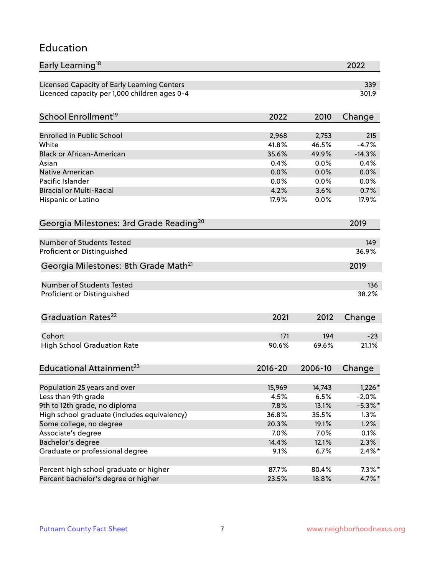#### Education

| Early Learning <sup>18</sup>                        |             |         | 2022                  |
|-----------------------------------------------------|-------------|---------|-----------------------|
| Licensed Capacity of Early Learning Centers         |             |         | 339                   |
| Licenced capacity per 1,000 children ages 0-4       |             |         | 301.9                 |
|                                                     |             |         |                       |
| School Enrollment <sup>19</sup>                     | 2022        | 2010    | Change                |
| <b>Enrolled in Public School</b>                    | 2,968       | 2,753   | 215                   |
| White                                               | 41.8%       | 46.5%   | $-4.7%$               |
| <b>Black or African-American</b>                    | 35.6%       | 49.9%   | $-14.3%$              |
| Asian                                               | 0.4%        | 0.0%    | 0.4%                  |
| Native American                                     | 0.0%        | 0.0%    | 0.0%                  |
| Pacific Islander                                    | 0.0%        | 0.0%    | 0.0%                  |
| <b>Biracial or Multi-Racial</b>                     | 4.2%        | 3.6%    | 0.7%                  |
| Hispanic or Latino                                  | 17.9%       | 0.0%    | 17.9%                 |
|                                                     |             |         |                       |
| Georgia Milestones: 3rd Grade Reading <sup>20</sup> |             |         | 2019                  |
| <b>Number of Students Tested</b>                    |             |         | 149                   |
| Proficient or Distinguished                         |             |         | 36.9%                 |
| Georgia Milestones: 8th Grade Math <sup>21</sup>    |             |         | 2019                  |
| <b>Number of Students Tested</b>                    |             |         | 136                   |
| Proficient or Distinguished                         |             |         | 38.2%                 |
|                                                     |             |         |                       |
| Graduation Rates <sup>22</sup>                      | 2021        | 2012    | Change                |
|                                                     |             |         |                       |
| Cohort                                              | 171         | 194     | $-23$                 |
| <b>High School Graduation Rate</b>                  | 90.6%       | 69.6%   | 21.1%                 |
| Educational Attainment <sup>23</sup>                | $2016 - 20$ | 2006-10 | Change                |
|                                                     |             |         |                       |
| Population 25 years and over                        | 15,969      | 14,743  | $1,226*$              |
| Less than 9th grade                                 | 4.5%        | 6.5%    | $-2.0%$<br>$-5.3\%$ * |
| 9th to 12th grade, no diploma                       | 7.8%        | 13.1%   |                       |
| High school graduate (includes equivalency)         | 36.8%       | 35.5%   | 1.3%                  |
| Some college, no degree                             | 20.3%       | 19.1%   | 1.2%                  |
| Associate's degree                                  | 7.0%        | 7.0%    | 0.1%                  |
| Bachelor's degree                                   | 14.4%       | 12.1%   | 2.3%                  |
| Graduate or professional degree                     | 9.1%        | 6.7%    | $2.4\%$ *             |
| Percent high school graduate or higher              | 87.7%       | 80.4%   | $7.3\%$ *             |
| Percent bachelor's degree or higher                 | 23.5%       | 18.8%   | 4.7%*                 |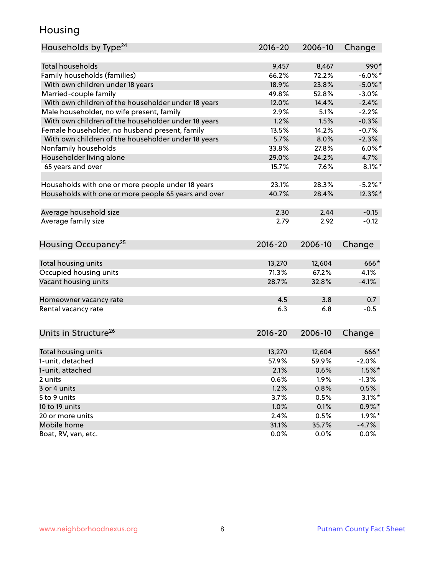#### Housing

| Households by Type <sup>24</sup>                     | 2016-20     | 2006-10 | Change     |
|------------------------------------------------------|-------------|---------|------------|
|                                                      |             |         |            |
| <b>Total households</b>                              | 9,457       | 8,467   | 990*       |
| Family households (families)                         | 66.2%       | 72.2%   | $-6.0\%$ * |
| With own children under 18 years                     | 18.9%       | 23.8%   | $-5.0\%$ * |
| Married-couple family                                | 49.8%       | 52.8%   | $-3.0%$    |
| With own children of the householder under 18 years  | 12.0%       | 14.4%   | $-2.4%$    |
| Male householder, no wife present, family            | 2.9%        | 5.1%    | $-2.2%$    |
| With own children of the householder under 18 years  | 1.2%        | 1.5%    | $-0.3%$    |
| Female householder, no husband present, family       | 13.5%       | 14.2%   | $-0.7%$    |
| With own children of the householder under 18 years  | 5.7%        | 8.0%    | $-2.3%$    |
| Nonfamily households                                 | 33.8%       | 27.8%   | $6.0\%$ *  |
| Householder living alone                             | 29.0%       | 24.2%   | 4.7%       |
| 65 years and over                                    | 15.7%       | 7.6%    | $8.1\%$ *  |
| Households with one or more people under 18 years    | 23.1%       | 28.3%   | $-5.2\%$ * |
| Households with one or more people 65 years and over | 40.7%       | 28.4%   | $12.3\%$ * |
|                                                      |             |         |            |
| Average household size                               | 2.30        | 2.44    | $-0.15$    |
| Average family size                                  | 2.79        | 2.92    | $-0.12$    |
| Housing Occupancy <sup>25</sup>                      | $2016 - 20$ | 2006-10 | Change     |
|                                                      |             |         |            |
| Total housing units                                  | 13,270      | 12,604  | 666*       |
| Occupied housing units                               | 71.3%       | 67.2%   | 4.1%       |
| Vacant housing units                                 | 28.7%       | 32.8%   | $-4.1%$    |
| Homeowner vacancy rate                               | 4.5         | 3.8     | 0.7        |
| Rental vacancy rate                                  | 6.3         | 6.8     | $-0.5$     |
| Units in Structure <sup>26</sup>                     | $2016 - 20$ | 2006-10 | Change     |
|                                                      |             |         |            |
| Total housing units                                  | 13,270      | 12,604  | 666*       |
| 1-unit, detached                                     | 57.9%       | 59.9%   | $-2.0%$    |
| 1-unit, attached                                     | 2.1%        | 0.6%    | $1.5\%$ *  |
| 2 units                                              | 0.6%        | 1.9%    | $-1.3%$    |
| 3 or 4 units                                         | 1.2%        | 0.8%    | 0.5%       |
| 5 to 9 units                                         | 3.7%        | 0.5%    | $3.1\%$ *  |
| 10 to 19 units                                       | 1.0%        | 0.1%    | $0.9\% *$  |
| 20 or more units                                     | 2.4%        | 0.5%    | $1.9\%$ *  |
| Mobile home                                          | 31.1%       | 35.7%   | $-4.7%$    |
| Boat, RV, van, etc.                                  | 0.0%        | 0.0%    | 0.0%       |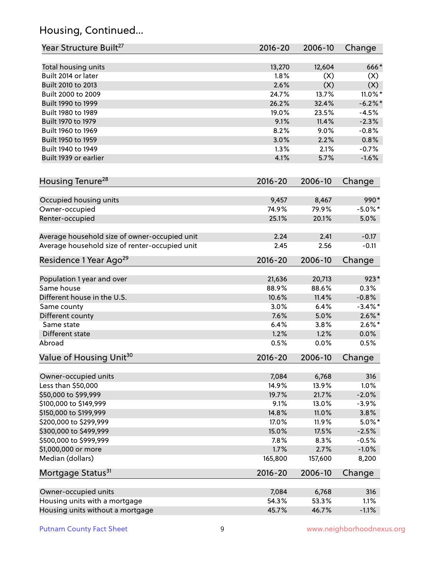# Housing, Continued...

| Year Structure Built <sup>27</sup>             | 2016-20     | 2006-10 | Change     |
|------------------------------------------------|-------------|---------|------------|
| Total housing units                            | 13,270      | 12,604  | 666*       |
| Built 2014 or later                            | 1.8%        | (X)     | (X)        |
| Built 2010 to 2013                             | 2.6%        | (X)     | (X)        |
| Built 2000 to 2009                             | 24.7%       | 13.7%   | 11.0% $*$  |
| Built 1990 to 1999                             | 26.2%       | 32.4%   | $-6.2\%$ * |
| Built 1980 to 1989                             | 19.0%       | 23.5%   | $-4.5%$    |
| Built 1970 to 1979                             | 9.1%        | 11.4%   | $-2.3%$    |
| Built 1960 to 1969                             | 8.2%        | 9.0%    | $-0.8%$    |
| Built 1950 to 1959                             | 3.0%        | 2.2%    | 0.8%       |
| Built 1940 to 1949                             | 1.3%        | 2.1%    | $-0.7%$    |
| Built 1939 or earlier                          | 4.1%        | 5.7%    | $-1.6%$    |
|                                                |             |         |            |
| Housing Tenure <sup>28</sup>                   | $2016 - 20$ | 2006-10 | Change     |
| Occupied housing units                         | 9,457       | 8,467   | 990*       |
| Owner-occupied                                 | 74.9%       | 79.9%   | $-5.0\%$ * |
| Renter-occupied                                | 25.1%       | 20.1%   | 5.0%       |
|                                                |             |         |            |
| Average household size of owner-occupied unit  | 2.24        | 2.41    | $-0.17$    |
| Average household size of renter-occupied unit | 2.45        | 2.56    | $-0.11$    |
| Residence 1 Year Ago <sup>29</sup>             | 2016-20     | 2006-10 | Change     |
|                                                |             |         |            |
| Population 1 year and over                     | 21,636      | 20,713  | $923*$     |
| Same house                                     | 88.9%       | 88.6%   | 0.3%       |
| Different house in the U.S.                    | 10.6%       | 11.4%   | $-0.8%$    |
| Same county                                    | 3.0%        | 6.4%    | $-3.4\%$ * |
| Different county                               | 7.6%        | 5.0%    | $2.6\%$ *  |
| Same state                                     | 6.4%        | 3.8%    | $2.6\%$ *  |
| Different state                                | 1.2%        | 1.2%    | 0.0%       |
| Abroad                                         | 0.5%        | 0.0%    | 0.5%       |
| Value of Housing Unit <sup>30</sup>            | 2016-20     | 2006-10 | Change     |
| Owner-occupied units                           | 7,084       | 6,768   | 316        |
| Less than \$50,000                             | 14.9%       | 13.9%   | 1.0%       |
| \$50,000 to \$99,999                           | 19.7%       | 21.7%   | $-2.0%$    |
| \$100,000 to \$149,999                         | 9.1%        | 13.0%   | $-3.9%$    |
| \$150,000 to \$199,999                         | 14.8%       | 11.0%   | 3.8%       |
| \$200,000 to \$299,999                         | 17.0%       | 11.9%   | $5.0\%$ *  |
| \$300,000 to \$499,999                         | 15.0%       | 17.5%   | $-2.5%$    |
| \$500,000 to \$999,999                         | 7.8%        | 8.3%    | $-0.5%$    |
| \$1,000,000 or more                            | 1.7%        | 2.7%    | $-1.0%$    |
| Median (dollars)                               | 165,800     | 157,600 | 8,200      |
| Mortgage Status <sup>31</sup>                  | $2016 - 20$ | 2006-10 | Change     |
|                                                |             |         |            |
| Owner-occupied units                           | 7,084       | 6,768   | 316        |
| Housing units with a mortgage                  | 54.3%       | 53.3%   | 1.1%       |
| Housing units without a mortgage               | 45.7%       | 46.7%   | $-1.1%$    |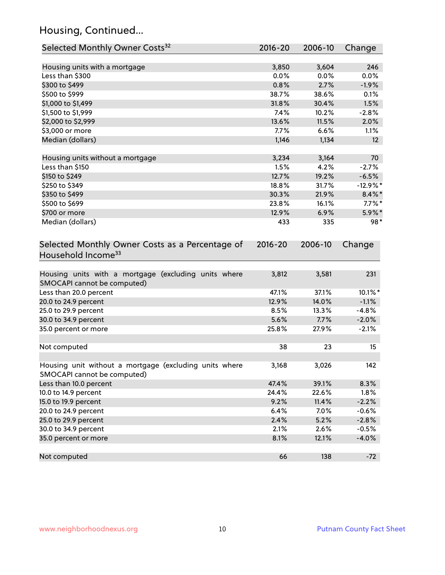# Housing, Continued...

| Selected Monthly Owner Costs <sup>32</sup>                                          | 2016-20       | 2006-10       | Change             |
|-------------------------------------------------------------------------------------|---------------|---------------|--------------------|
| Housing units with a mortgage                                                       | 3,850         | 3,604         | 246                |
| Less than \$300                                                                     | 0.0%          | 0.0%          | 0.0%               |
| \$300 to \$499                                                                      | 0.8%          | 2.7%          | $-1.9%$            |
| \$500 to \$999                                                                      | 38.7%         | 38.6%         | 0.1%               |
| \$1,000 to \$1,499                                                                  | 31.8%         | 30.4%         | 1.5%               |
| \$1,500 to \$1,999                                                                  | 7.4%          | 10.2%         | $-2.8%$            |
| \$2,000 to \$2,999                                                                  | 13.6%         | 11.5%         | 2.0%               |
| \$3,000 or more                                                                     | 7.7%          | 6.6%          | 1.1%               |
| Median (dollars)                                                                    | 1,146         | 1,134         | 12                 |
|                                                                                     |               | 3,164         | 70                 |
| Housing units without a mortgage<br>Less than \$150                                 | 3,234<br>1.5% | 4.2%          | $-2.7%$            |
| \$150 to \$249                                                                      | 12.7%         | 19.2%         | $-6.5%$            |
| \$250 to \$349                                                                      | 18.8%         | 31.7%         | $-12.9%$ *         |
| \$350 to \$499                                                                      | 30.3%         | 21.9%         | $8.4\%$ *          |
| \$500 to \$699                                                                      | 23.8%         | 16.1%         | $7.7\%$ *          |
| \$700 or more                                                                       | 12.9%         | 6.9%          | 5.9%*              |
| Median (dollars)                                                                    | 433           | 335           | $98*$              |
| Household Income <sup>33</sup>                                                      |               |               |                    |
| Housing units with a mortgage (excluding units where<br>SMOCAPI cannot be computed) | 3,812         | 3,581         | 231                |
| Less than 20.0 percent                                                              | 47.1%         | 37.1%         | 10.1%*             |
| 20.0 to 24.9 percent                                                                | 12.9%         | 14.0%         | $-1.1%$            |
| 25.0 to 29.9 percent                                                                | 8.5%          | 13.3%         | $-4.8%$            |
| 30.0 to 34.9 percent                                                                | 5.6%          | 7.7%          | $-2.0%$            |
| 35.0 percent or more                                                                | 25.8%         | 27.9%         | $-2.1%$            |
|                                                                                     |               |               |                    |
| Not computed                                                                        | 38            | 23            | 15                 |
| Housing unit without a mortgage (excluding units where                              | 3,168         | 3,026         | 142                |
| SMOCAPI cannot be computed)                                                         |               |               |                    |
| Less than 10.0 percent                                                              | 47.4%         | 39.1%         | 8.3%               |
| 10.0 to 14.9 percent                                                                | 24.4%         | 22.6%         | 1.8%               |
| 15.0 to 19.9 percent<br>20.0 to 24.9 percent                                        | 9.2%<br>6.4%  | 11.4%<br>7.0% | $-2.2%$<br>$-0.6%$ |
|                                                                                     |               |               |                    |
| 25.0 to 29.9 percent<br>30.0 to 34.9 percent                                        | 2.4%<br>2.1%  | 5.2%<br>2.6%  | $-2.8%$<br>$-0.5%$ |
| 35.0 percent or more                                                                | 8.1%          | 12.1%         | $-4.0%$            |
|                                                                                     |               |               |                    |
| Not computed                                                                        | 66            | 138           | $-72$              |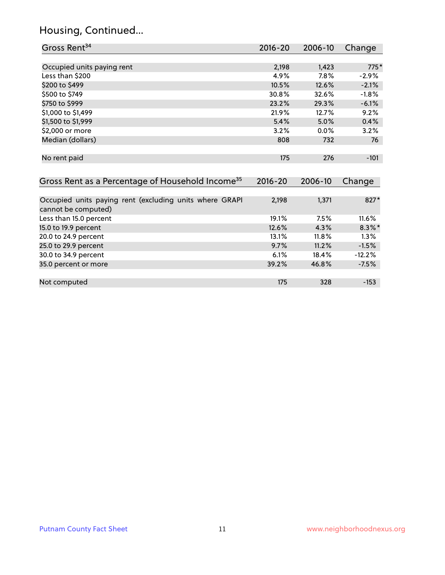# Housing, Continued...

| Gross Rent <sup>34</sup>                                                       | $2016 - 20$ | 2006-10 | Change    |
|--------------------------------------------------------------------------------|-------------|---------|-----------|
|                                                                                |             |         |           |
| Occupied units paying rent                                                     | 2,198       | 1,423   | $775*$    |
| Less than \$200                                                                | 4.9%        | 7.8%    | $-2.9%$   |
| \$200 to \$499                                                                 | 10.5%       | 12.6%   | $-2.1%$   |
| \$500 to \$749                                                                 | 30.8%       | 32.6%   | $-1.8%$   |
| \$750 to \$999                                                                 | 23.2%       | 29.3%   | $-6.1%$   |
| \$1,000 to \$1,499                                                             | 21.9%       | 12.7%   | 9.2%      |
| \$1,500 to \$1,999                                                             | 5.4%        | 5.0%    | 0.4%      |
| \$2,000 or more                                                                | 3.2%        | 0.0%    | 3.2%      |
| Median (dollars)                                                               | 808         | 732     | 76        |
| No rent paid                                                                   | 175         | 276     | $-101$    |
| Gross Rent as a Percentage of Household Income <sup>35</sup>                   | $2016 - 20$ | 2006-10 | Change    |
| Occupied units paying rent (excluding units where GRAPI<br>cannot be computed) | 2,198       | 1,371   | 827*      |
| Less than 15.0 percent                                                         | 19.1%       | 7.5%    | 11.6%     |
| 15.0 to 19.9 percent                                                           | 12.6%       | 4.3%    | $8.3\%$ * |
| 20.0 to 24.9 percent                                                           | 13.1%       | 11.8%   | 1.3%      |
| 25.0 to 29.9 percent                                                           | 9.7%        | 11.2%   | $-1.5%$   |
| 30.0 to 34.9 percent                                                           | 6.1%        | 18.4%   | $-12.2%$  |
| 35.0 percent or more                                                           | 39.2%       | 46.8%   | $-7.5%$   |
| Not computed                                                                   | 175         | 328     | $-153$    |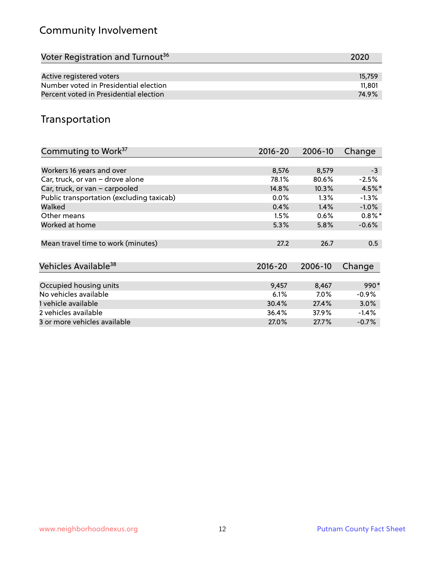# Community Involvement

| Voter Registration and Turnout <sup>36</sup> | 2020   |
|----------------------------------------------|--------|
|                                              |        |
| Active registered voters                     | 15,759 |
| Number voted in Presidential election        | 11,801 |
| Percent voted in Presidential election       | 74.9%  |

#### Transportation

| Commuting to Work <sup>37</sup>           | 2016-20     | 2006-10 | Change    |
|-------------------------------------------|-------------|---------|-----------|
|                                           |             |         |           |
| Workers 16 years and over                 | 8,576       | 8,579   | $-3$      |
| Car, truck, or van - drove alone          | 78.1%       | 80.6%   | $-2.5%$   |
| Car, truck, or van - carpooled            | 14.8%       | 10.3%   | $4.5%$ *  |
| Public transportation (excluding taxicab) | 0.0%        | $1.3\%$ | $-1.3%$   |
| Walked                                    | 0.4%        | 1.4%    | $-1.0%$   |
| Other means                               | 1.5%        | 0.6%    | $0.8\%$ * |
| Worked at home                            | 5.3%        | 5.8%    | $-0.6%$   |
|                                           |             |         |           |
| Mean travel time to work (minutes)        | 27.2        | 26.7    | 0.5       |
|                                           |             |         |           |
| Vehicles Available <sup>38</sup>          | $2016 - 20$ | 2006-10 | Change    |
|                                           |             |         |           |
| Occupied housing units                    | 9,457       | 8,467   | 990*      |
| No vehicles available                     | 6.1%        | $7.0\%$ | $-0.9%$   |
| 1 vehicle available                       | 30.4%       | 27.4%   | 3.0%      |
| 2 vehicles available                      | 36.4%       | 37.9%   | $-1.4%$   |
| 3 or more vehicles available              | 27.0%       | 27.7%   | $-0.7%$   |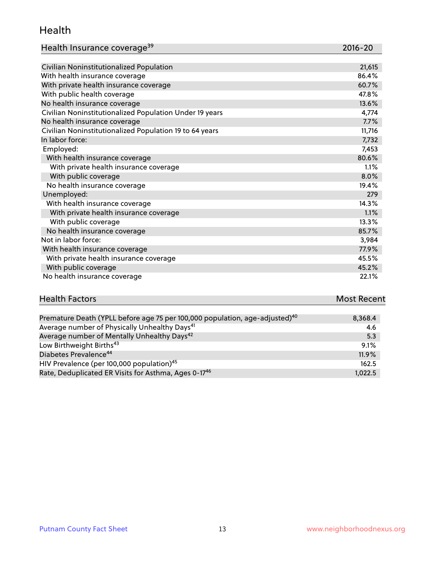#### Health

| Health Insurance coverage <sup>39</sup> | 2016-20 |
|-----------------------------------------|---------|
|-----------------------------------------|---------|

| Civilian Noninstitutionalized Population                | 21,615 |
|---------------------------------------------------------|--------|
| With health insurance coverage                          | 86.4%  |
| With private health insurance coverage                  | 60.7%  |
| With public health coverage                             | 47.8%  |
| No health insurance coverage                            | 13.6%  |
| Civilian Noninstitutionalized Population Under 19 years | 4,774  |
| No health insurance coverage                            | 7.7%   |
| Civilian Noninstitutionalized Population 19 to 64 years | 11,716 |
| In labor force:                                         | 7,732  |
| Employed:                                               | 7,453  |
| With health insurance coverage                          | 80.6%  |
| With private health insurance coverage                  | 1.1%   |
| With public coverage                                    | 8.0%   |
| No health insurance coverage                            | 19.4%  |
| Unemployed:                                             | 279    |
| With health insurance coverage                          | 14.3%  |
| With private health insurance coverage                  | 1.1%   |
| With public coverage                                    | 13.3%  |
| No health insurance coverage                            | 85.7%  |
| Not in labor force:                                     | 3,984  |
| With health insurance coverage                          | 77.9%  |
| With private health insurance coverage                  | 45.5%  |
| With public coverage                                    | 45.2%  |
| No health insurance coverage                            | 22.1%  |

#### **Health Factors Most Recent** Premature Death (YPLL before age 75 per 100,000 population, age-adjusted)<sup>40</sup> 8,368.4

| Thermaters Death (The Bergre age to per reviewe population, age adjacted) | <u></u> |
|---------------------------------------------------------------------------|---------|
| Average number of Physically Unhealthy Days <sup>41</sup>                 | 4.6     |
| Average number of Mentally Unhealthy Days <sup>42</sup>                   | 5.3     |
| Low Birthweight Births <sup>43</sup>                                      | 9.1%    |
| Diabetes Prevalence <sup>44</sup>                                         | 11.9%   |
| HIV Prevalence (per 100,000 population) <sup>45</sup>                     | 162.5   |
| Rate, Deduplicated ER Visits for Asthma, Ages 0-17 <sup>46</sup>          | 1.022.5 |